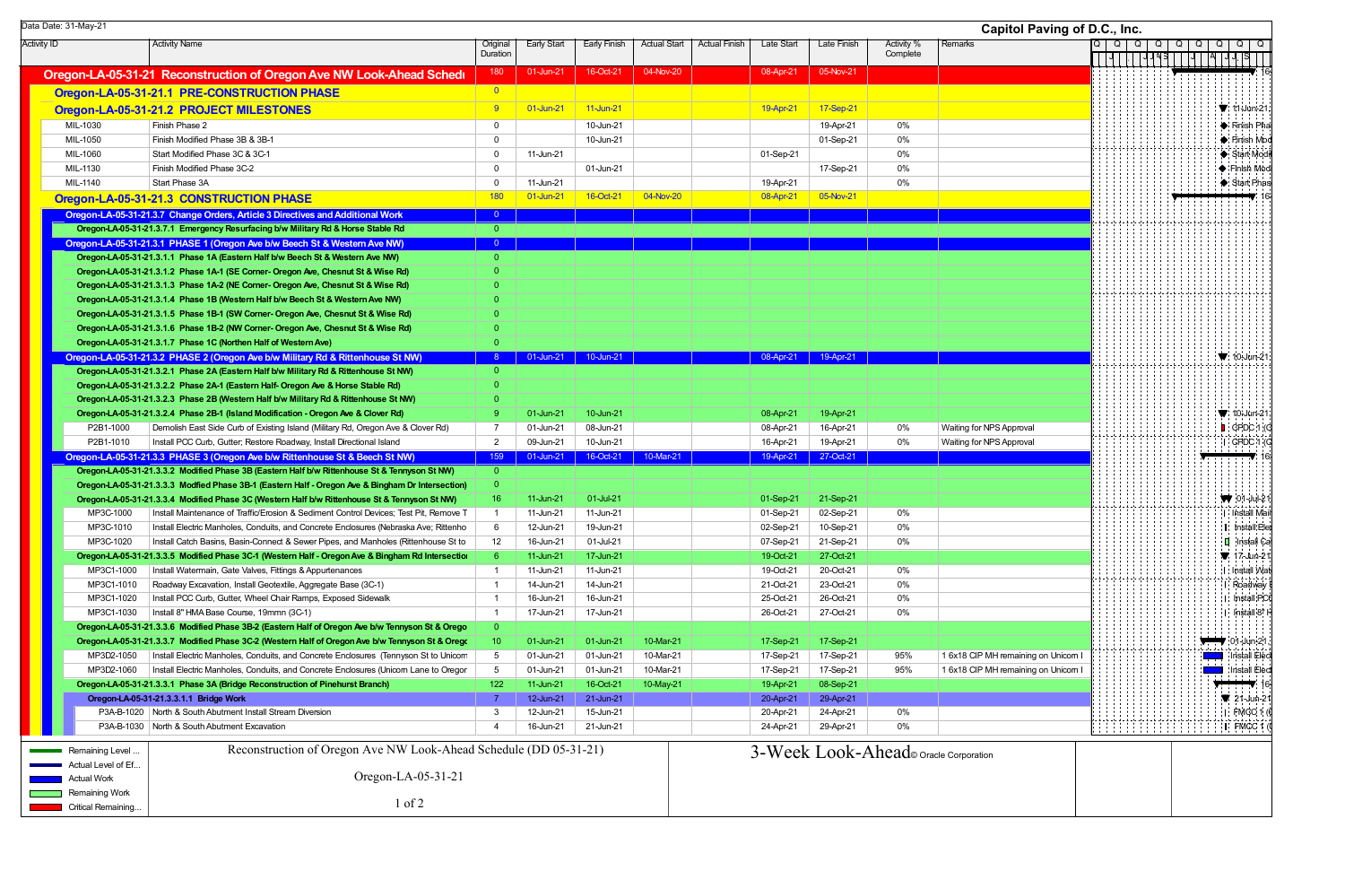| Data Date: 31-May-21   |                                                                                                                                                                          |                                |                    |              |                     |                      |            |                                      |                        | <b>Capitol Paving of D.C., Inc.</b> |                 |               |        |                                    |
|------------------------|--------------------------------------------------------------------------------------------------------------------------------------------------------------------------|--------------------------------|--------------------|--------------|---------------------|----------------------|------------|--------------------------------------|------------------------|-------------------------------------|-----------------|---------------|--------|------------------------------------|
| <b>Activity ID</b>     | <b>Activity Name</b>                                                                                                                                                     | Original<br>Duration           | <b>Early Start</b> | Early Finish | <b>Actual Start</b> | <b>Actual Finish</b> | Late Start | Late Finish                          | Activity %<br>Complete | Remarks                             | $Q \mid Q \mid$ | Q<br>$Q \mid$ | Q<br>Q | Q<br>$Q   Q$                       |
|                        | Oregon-LA-05-31-21 Reconstruction of Oregon Ave NW Look-Ahead Schedu                                                                                                     | 180                            | 01-Jun-21          | 16-Oct-21    | 04-Nov-20           |                      | 08-Apr-21  | 05-Nov-21                            |                        |                                     |                 |               |        |                                    |
|                        | Oregon-LA-05-31-21.1 PRE-CONSTRUCTION PHASE                                                                                                                              | $\overline{\mathbf{0}}$        |                    |              |                     |                      |            |                                      |                        |                                     |                 |               |        |                                    |
|                        | Oregon-LA-05-31-21.2 PROJECT MILESTONES                                                                                                                                  | -9-                            | 01-Jun-21          | 11-Jun-21    |                     |                      | 19-Apr-21  | 17-Sep-21                            |                        |                                     |                 |               |        | $\P$ : 11-Jun-21                   |
| MIL-1030               | Finish Phase 2                                                                                                                                                           | $\overline{0}$                 |                    | 10-Jun-21    |                     |                      |            | 19-Apr-21                            | 0%                     |                                     |                 |               |        | Finish Pha                         |
| MIL-1050               | Finish Modified Phase 3B & 3B-1                                                                                                                                          | $\overline{0}$                 |                    | 10-Jun-21    |                     |                      |            | 01-Sep-21                            | 0%                     |                                     |                 |               |        | $\blacktriangleright$ : Finish Mod |
| MIL-1060               | Start Modified Phase 3C & 3C-1                                                                                                                                           | $\overline{0}$                 | 11-Jun-21          |              |                     |                      | 01-Sep-21  |                                      | 0%                     |                                     |                 |               |        | $\blacktriangleright$ Start Mod    |
| MIL-1130               | Finish Modified Phase 3C-2                                                                                                                                               | $\mathbf 0$                    |                    | 01-Jun-21    |                     |                      |            | 17-Sep-21                            | 0%                     |                                     |                 |               |        | ♦ Finish Mod                       |
| MIL-1140               | Start Phase 3A                                                                                                                                                           | $\mathbf 0$                    | 11-Jun-21          |              |                     |                      | 19-Apr-21  |                                      | 0%                     |                                     |                 |               |        | $\blacktriangleright$ Start Phas   |
|                        | Oregon-LA-05-31-21.3 CONSTRUCTION PHASE                                                                                                                                  | 180                            | 01-Jun-21          | 16-Oct-21    | 04-Nov-20           |                      | 08-Apr-21  | 05-Nov-21                            |                        |                                     |                 |               |        |                                    |
|                        | Oregon-LA-05-31-21.3.7 Change Orders, Article 3 Directives and Additional Work                                                                                           | $\overline{0}$                 |                    |              |                     |                      |            |                                      |                        |                                     |                 |               |        |                                    |
|                        | Oregon-LA-05-31-21.3.7.1 Emergency Resurfacing b/w Military Rd & Horse Stable Rd                                                                                         | $\overline{0}$                 |                    |              |                     |                      |            |                                      |                        |                                     |                 |               |        |                                    |
|                        | Oregon-LA-05-31-21.3.1 PHASE 1 (Oregon Ave b/w Beech St & Western Ave NW)                                                                                                | $\overline{0}$                 |                    |              |                     |                      |            |                                      |                        |                                     |                 |               |        |                                    |
|                        | Oregon-LA-05-31-21.3.1.1 Phase 1A (Eastern Half b/w Beech St & Western Ave NW)                                                                                           | $\overline{0}$                 |                    |              |                     |                      |            |                                      |                        |                                     |                 |               |        |                                    |
|                        | Oregon-LA-05-31-21.3.1.2 Phase 1A-1 (SE Corner- Oregon Ave, Chesnut St & Wise Rd)                                                                                        | $\overline{0}$                 |                    |              |                     |                      |            |                                      |                        |                                     |                 |               |        |                                    |
|                        | Oregon-LA-05-31-21.3.1.3 Phase 1A-2 (NE Corner- Oregon Ave, Chesnut St & Wise Rd)                                                                                        |                                |                    |              |                     |                      |            |                                      |                        |                                     |                 |               |        |                                    |
|                        | Oregon-LA-05-31-21.3.1.4 Phase 1B (Western Half b/w Beech St & Western Ave NW)                                                                                           |                                |                    |              |                     |                      |            |                                      |                        |                                     |                 |               |        |                                    |
|                        | Oregon-LA-05-31-21.3.1.5 Phase 1B-1 (SW Corner- Oregon Ave, Chesnut St & Wise Rd)                                                                                        | $\Omega$                       |                    |              |                     |                      |            |                                      |                        |                                     |                 |               |        |                                    |
|                        | Oregon-LA-05-31-21.3.1.6 Phase 1B-2 (NW Corner- Oregon Ave, Chesnut St & Wise Rd)                                                                                        | $\overline{0}$                 |                    |              |                     |                      |            |                                      |                        |                                     |                 |               |        |                                    |
|                        | Oregon-LA-05-31-21.3.1.7 Phase 1C (Northen Half of Western Ave)                                                                                                          | $\overline{0}$                 |                    |              |                     |                      |            |                                      |                        |                                     |                 |               |        |                                    |
|                        | Oregon-LA-05-31-21.3.2 PHASE 2 (Oregon Ave b/w Military Rd & Rittenhouse St NW)                                                                                          | $\overline{0}$                 | 01-Jun-21          | 10-Jun-21    |                     |                      | 08-Apr-21  | 19-Apr-21                            |                        |                                     |                 |               |        | $\blacktriangledown$ 10-Jun-21     |
|                        | Oregon-LA-05-31-21.3.2.1 Phase 2A (Eastern Half b/w Military Rd & Rittenhouse St NW)                                                                                     | $\Omega$                       |                    |              |                     |                      |            |                                      |                        |                                     |                 |               |        |                                    |
|                        | Oregon-LA-05-31-21.3.2.2 Phase 2A-1 (Eastern Half- Oregon Ave & Horse Stable Rd)<br>Oregon-LA-05-31-21.3.2.3 Phase 2B (Western Half b/w Military Rd & Rittenhouse St NW) | $\Omega$                       |                    |              |                     |                      |            |                                      |                        |                                     |                 |               |        |                                    |
|                        | Oregon-LA-05-31-21.3.2.4 Phase 2B-1 (Island Modification - Oregon Ave & Clover Rd)                                                                                       | -9                             | 01-Jun-21          | 10-Jun-21    |                     |                      | 08-Apr-21  | 19-Apr-21                            |                        |                                     |                 |               |        | $\blacktriangledown$ 10-Jun-21     |
| P2B1-1000              | Demolish East Side Curb of Existing Island (Military Rd, Oregon Ave & Clover Rd)                                                                                         | 7                              | 01-Jun-21          | 08-Jun-21    |                     |                      | 08-Apr-21  | 16-Apr-21                            | 0%                     | Waiting for NPS Approval            |                 |               |        | $\blacksquare$ CPDC 1 (C           |
| P2B1-1010              | Install PCC Curb, Gutter; Restore Roadway, Install Directional Island                                                                                                    | $\overline{2}$                 | 09-Jun-21          | 10-Jun-21    |                     |                      | 16-Apr-21  | 19-Apr-21                            | 0%                     | Waiting for NPS Approval            |                 |               |        | $C PDC 1$ (                        |
|                        | Oregon-LA-05-31-21.3.3 PHASE 3 (Oregon Ave b/w Rittenhouse St & Beech St NW)                                                                                             | 159                            | 01-Jun-21          | 16-Oct-21    | 10-Mar-21           |                      | 19-Apr-21  | 27-Oct-21                            |                        |                                     |                 |               |        | $\blacksquare$ 1                   |
|                        | Oregon-LA-05-31-21.3.3.2 Modified Phase 3B (Eastern Half b/w Rittenhouse St & Tennyson St NW)                                                                            | $\overline{0}$                 |                    |              |                     |                      |            |                                      |                        |                                     |                 |               |        |                                    |
|                        | Oregon-LA-05-31-21.3.3.3 Modfied Phase 3B-1 (Eastern Half - Oregon Ave & Bingham Dr Intersection)                                                                        | $\overline{0}$                 |                    |              |                     |                      |            |                                      |                        |                                     |                 |               |        |                                    |
|                        | Oregon-LA-05-31-21.3.3.4 Modified Phase 3C (Western Half b/w Rittenhouse St & Tennyson St NW)                                                                            | 16                             | 11-Jun-21          | 01-Jul-21    |                     |                      | 01-Sep-21  | 21-Sep-21                            |                        |                                     |                 |               |        | $\sqrt{ }$ 01-Jul-21               |
| MP3C-1000              | Install Maintenance of Traffic/Erosion & Sediment Control Devices; Test Pit, Remove T                                                                                    |                                | 11-Jun-21          | 11-Jun-21    |                     |                      | 01-Sep-21  | 02-Sep-21                            | 0%                     |                                     |                 |               |        | Install Mair                       |
| MP3C-1010              | Install Electric Manholes, Conduits, and Concrete Enclosures (Nebraska Ave; Rittenho                                                                                     | 6                              | 12-Jun-21          | 19-Jun-21    |                     |                      | 02-Sep-21  | 10-Sep-21                            | 0%                     |                                     |                 |               |        | I: Install Ele                     |
| MP3C-1020              | Install Catch Basins, Basin-Connect & Sewer Pipes, and Manholes (Rittenhouse St to                                                                                       | 12                             | 16-Jun-21          | 01-Jul-21    |                     |                      | 07-Sep-21  | 21-Sep-21                            | $0\%$                  |                                     |                 |               |        | $\blacksquare$ Install Ca          |
|                        | Oregon-LA-05-31-21.3.3.5 Modified Phase 3C-1 (Western Half - Oregon Ave & Bingham Rd Intersection                                                                        | $6^{\circ}$                    | 11-Jun-21          | 17-Jun-21    |                     |                      | 19-Oct-21  | 27-Oct-21                            |                        |                                     |                 |               |        | $\sqrt{21}$ 17-Jun-21              |
| MP3C1-1000             | Install Watermain, Gate Valves, Fittings & Appurtenances                                                                                                                 |                                | 11-Jun-21          | 11-Jun-21    |                     |                      | 19-Oct-21  | 20-Oct-21                            | 0%                     |                                     |                 |               |        | : Install Wa                       |
| MP3C1-1010             | Roadway Excavation, Install Geotextile, Aggregate Base (3C-1)                                                                                                            |                                | 14-Jun-21          | 14-Jun-21    |                     |                      | 21-Oct-21  | 23-Oct-21                            | $0\%$                  |                                     |                 |               |        | Roadway                            |
| MP3C1-1020             | Install PCC Curb, Gutter, Wheel Chair Ramps, Exposed Sidewalk                                                                                                            |                                | 16-Jun-21          | 16-Jun-21    |                     |                      | 25-Oct-21  | 26-Oct-21                            | 0%                     |                                     |                 |               |        | : Install:PC0                      |
| MP3C1-1030             | Install 8" HMA Base Course, 19mmn (3C-1)                                                                                                                                 | $\overline{1}$                 | 17-Jun-21          | 17-Jun-21    |                     |                      | 26-Oct-21  | 27-Oct-21                            | 0%                     |                                     |                 |               |        | Install <sup>8</sup>               |
|                        | Oregon-LA-05-31-21.3.3.6 Modified Phase 3B-2 (Eastern Half of Oregon Ave b/w Tennyson St & Orego                                                                         | $\overline{0}$                 |                    |              |                     |                      |            |                                      |                        |                                     |                 |               |        |                                    |
|                        | Oregon-LA-05-31-21.3.3.7 Modified Phase 3C-2 (Western Half of Oregon Ave b/w Tennyson St & Orego                                                                         | 10 <sup>°</sup>                | 01-Jun-21          | 01-Jun-21    | 10-Mar-21           |                      | 17-Sep-21  | 17-Sep-21                            |                        |                                     |                 |               |        | $\sqrt{21}$ :01-Jun-21             |
| MP3D2-1050             | Install Electric Manholes, Conduits, and Concrete Enclosures (Tennyson St to Unicom                                                                                      | $5\overline{)}$                | 01-Jun-21          | 01-Jun-21    | 10-Mar-21           |                      | 17-Sep-21  | 17-Sep-21                            | 95%                    | 1 6x18 CIP MH remaining on Unicorn  |                 |               |        | Install Elect                      |
| MP3D2-1060             | Install Electric Manholes, Conduits, and Concrete Enclosures (Unicorn Lane to Oregor                                                                                     | $5\overline{)}$                | 01-Jun-21          | 01-Jun-21    | 10-Mar-21           |                      | 17-Sep-21  | 17-Sep-21                            | 95%                    | 1 6x18 CIP MH remaining on Unicorn  |                 |               |        | <b>Install Elect</b>               |
|                        | Oregon-LA-05-31-21.3.3.1 Phase 3A (Bridge Reconstruction of Pinehurst Branch)                                                                                            | 122                            | 11-Jun-21          | 16-Oct-21    | 10-May-21           |                      | 19-Apr-21  | 08-Sep-21                            |                        |                                     |                 |               |        | $\rightarrow$ 10                   |
|                        | Oregon-LA-05-31-21.3.3.1.1 Bridge Work                                                                                                                                   | -7                             | 12-Jun-21          | 21-Jun-21    |                     |                      | 20-Apr-21  | 29-Apr-21                            |                        |                                     |                 |               |        | $\sqrt{21}$ -Jun-21                |
|                        | P3A-B-1020   North & South Abutment Install Stream Diversion<br>P3A-B-1030   North & South Abutment Excavation                                                           | $\mathbf{3}$<br>$\overline{4}$ | 12-Jun-21          | 15-Jun-21    |                     |                      | 20-Apr-21  | 24-Apr-21                            | 0%                     |                                     |                 |               |        | $I$ : FMCC 1                       |
|                        |                                                                                                                                                                          |                                | 16-Jun-21          | 21-Jun-21    |                     |                      | 24-Apr-21  | 29-Apr-21                            | 0%                     |                                     |                 |               |        | I FMCC 1                           |
| <b>Remaining Level</b> | Reconstruction of Oregon Ave NW Look-Ahead Schedule (DD 05-31-21)                                                                                                        |                                |                    |              |                     |                      |            | 3-Week Look-Ahead oracle Corporation |                        |                                     |                 |               |        |                                    |
| Actual Level of Ef.    |                                                                                                                                                                          |                                |                    |              |                     |                      |            |                                      |                        |                                     |                 |               |        |                                    |
| Actual Work            | Oregon-LA-05-31-21                                                                                                                                                       |                                |                    |              |                     |                      |            |                                      |                        |                                     |                 |               |        |                                    |
| <b>Remaining Work</b>  |                                                                                                                                                                          |                                |                    |              |                     |                      |            |                                      |                        |                                     |                 |               |        |                                    |
| Critical Remaining     | $1$ of $2$                                                                                                                                                               |                                |                    |              |                     |                      |            |                                      |                        |                                     |                 |               |        |                                    |